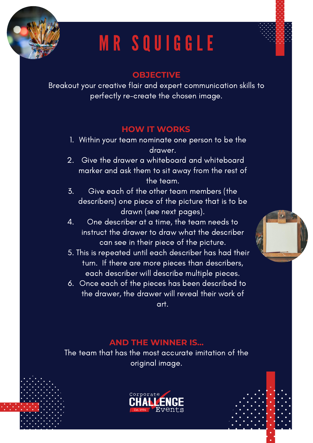

# M R S Q U I G G L E

### **OBJECTIVE**

Breakout your creative flair and expert communication skills to perfectly re-create the chosen image.

#### **HOW IT WORKS**

- Within your team nominate one person to be the 1. drawer.
- Give the drawer a whiteboard and whiteboard marker and ask them to sit away from the rest of the team. 2.
- Give each of the other team members (the describers) one piece of the picture that is to be drawn (see next pages). 3.
- One describer at a time, the team needs to instruct the drawer to draw what the describer can see in their piece of the picture. 4.
- 5. This is repeated until each describer has had their turn. If there are more pieces than describers, each describer will describe multiple pieces.
- 6. Once each of the pieces has been described to the drawer, the drawer will reveal their work of art.

### **AND THE WINNER IS...**

The team that has the most accurate imitation of the original image.

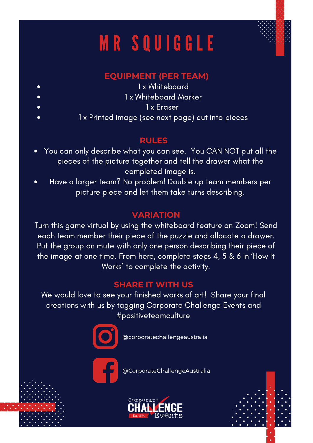# M R S Q U I G G L E

## **EQUIPMENT (PER TEAM)**

1 x Whiteboard

1 x Whiteboard Marker

1 x Eraser

1 x Printed image (see next page) cut into pieces

 $\bullet$ 

### **RULES**

- You can only describe what you can see. You CAN NOT put all the  $\bullet$ pieces of the picture together and tell the drawer what the completed image is.
- Have a larger team? No problem! Double up team members per  $\bullet$ picture piece and let them take turns describing.

## **VARIATION**

Turn this game virtual by using the whiteboard feature on Zoom! Send each team member their piece of the puzzle and allocate a drawer. Put the group on mute with only one person describing their piece of the image at one time. From here, complete steps 4, 5 & 6 in 'How It Works' to complete the activity.

### **SHARE IT WITH US**

We would love to see your finished works of art! Share your final creations with us by tagging Corporate Challenge Events and #positiveteamculture



@corporatechallengeaustralia



@CorporateChallengeAustralia